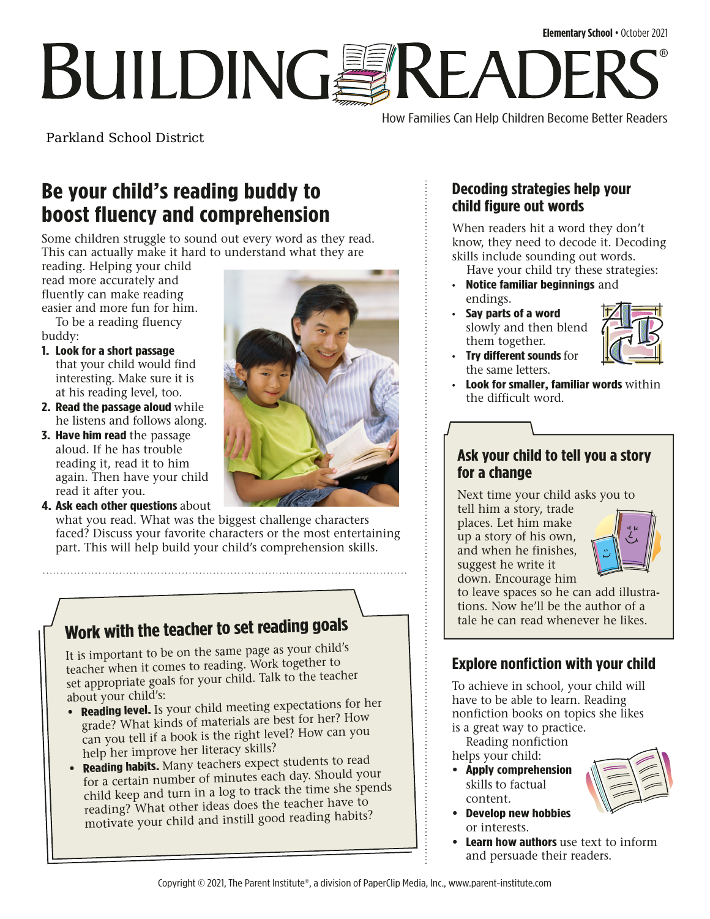# **Elementary School** • October 2021 **BUILDINGSREADE** ®

How Families Can Help Children Become Better Readers

Parkland School District

## **Be your child's reading buddy to boost fluency and comprehension**

Some children struggle to sound out every word as they read. This can actually make it hard to understand what they are

reading. Helping your child read more accurately and fluently can make reading easier and more fun for him.

To be a reading fluency buddy:

- **1. Look for a short passage**  that your child would find interesting. Make sure it is at his reading level, too.
- **2. Read the passage aloud** while he listens and follows along.
- **3. Have him read** the passage aloud. If he has trouble reading it, read it to him again. Then have your child read it after you.
- **4. Ask each other questions** about

what you read. What was the biggest challenge characters faced? Discuss your favorite characters or the most entertaining part. This will help build your child's comprehension skills.

# **Work with the teacher to set reading goals**

It is important to be on the same page as your child's teacher when it comes to reading. Work together to set appropriate goals for your child. Talk to the teacher about your child's:

- **• Reading level.** Is your child meeting expectations for her grade? What kinds of materials are best for her? How can you tell if a book is the right level? How can you help her improve her literacy skills?
- **Reading habits.** Many teachers expect students to read for a certain number of minutes each day. Should your child keep and turn in a log to track the time she spends reading? What other ideas does the teacher have to motivate your child and instill good reading habits?



#### **Decoding strategies help your child figure out words**

When readers hit a word they don't know, they need to decode it. Decoding skills include sounding out words.

- Have your child try these strategies: • **Notice familiar beginnings** and endings.
- **Say parts of a word**  slowly and then blend them together.



- **Try different sounds**for the same letters.
- **Look for smaller, familiar words** within the difficult word.

#### **Ask your child to tell you a story for a change**

Next time your child asks you to

tell him a story, trade places. Let him make up a story of his own, and when he finishes, suggest he write it down. Encourage him



to leave spaces so he can add illustrations. Now he'll be the author of a tale he can read whenever he likes.

#### **Explore nonfiction with your child**

To achieve in school, your child will have to be able to learn. Reading nonfiction books on topics she likes is a great way to practice.

Reading nonfiction

- helps your child:
	- **• Apply comprehension**  skills to factual content.
	- **• Develop new hobbies**  or interests.
	- **• Learn how authors** use text to inform and persuade their readers.